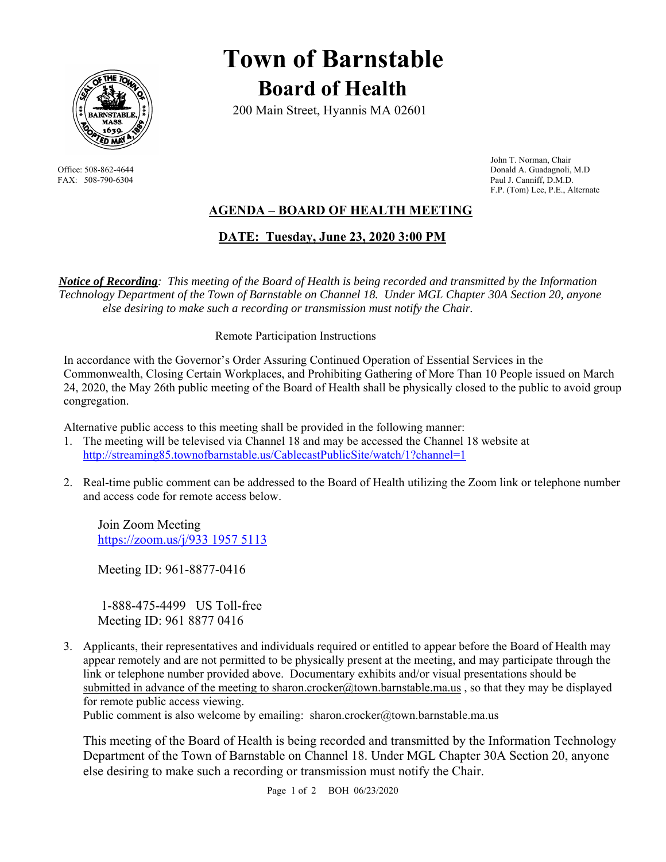

# **Town of Barnstable Board of Health**

200 Main Street, Hyannis MA 02601

 John T. Norman, Chair Office: 508-862-4644 Donald A. Guadagnoli, M.D FAX: 508-790-6304 Paul J. Canniff, D.M.D. F.P. (Tom) Lee, P.E., Alternate

# **AGENDA – BOARD OF HEALTH MEETING**

 **DATE: Tuesday, June 23, 2020 3:00 PM** 

*Notice of Recording: This meeting of the Board of Health is being recorded and transmitted by the Information Technology Department of the Town of Barnstable on Channel 18. Under MGL Chapter 30A Section 20, anyone else desiring to make such a recording or transmission must notify the Chair.* 

#### Remote Participation Instructions

In accordance with the Governor's Order Assuring Continued Operation of Essential Services in the Commonwealth, Closing Certain Workplaces, and Prohibiting Gathering of More Than 10 People issued on March 24, 2020, the May 26th public meeting of the Board of Health shall be physically closed to the public to avoid group congregation.

Alternative public access to this meeting shall be provided in the following manner:

- 1. The meeting will be televised via Channel 18 and may be accessed the Channel 18 website at http://streaming85.townofbarnstable.us/CablecastPublicSite/watch/1?channel=1
- 2. Real-time public comment can be addressed to the Board of Health utilizing the Zoom link or telephone number and access code for remote access below.

Join Zoom Meeting https://zoom.us/j/933 1957 5113

Meeting ID: 961-8877-0416

 1-888-475-4499 US Toll-free Meeting ID: 961 8877 0416

3. Applicants, their representatives and individuals required or entitled to appear before the Board of Health may appear remotely and are not permitted to be physically present at the meeting, and may participate through the link or telephone number provided above. Documentary exhibits and/or visual presentations should be submitted in advance of the meeting to sharon.crocker@town.barnstable.ma.us, so that they may be displayed for remote public access viewing.

Public comment is also welcome by emailing: sharon.crocker@town.barnstable.ma.us

This meeting of the Board of Health is being recorded and transmitted by the Information Technology Department of the Town of Barnstable on Channel 18. Under MGL Chapter 30A Section 20, anyone else desiring to make such a recording or transmission must notify the Chair.